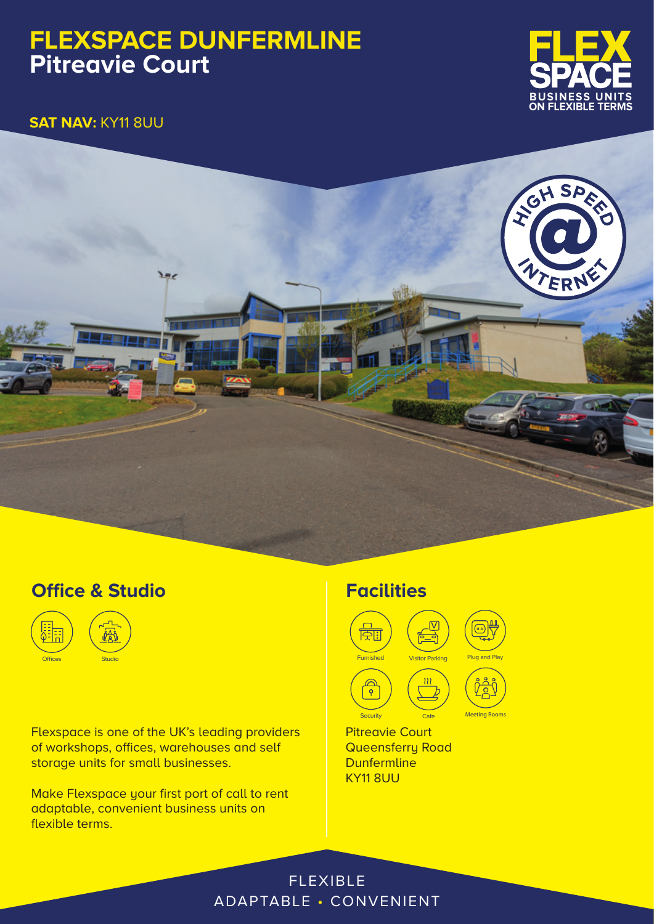# **FLEXSPACE DUNFERMLINE Pitreavie Court**



**SAT NAV:** KY11 8UU



## **Office & Studio**



Flexspace is one of the UK's leading providers of workshops, offices, warehouses and self storage units for small businesses.

Make Flexspace your first port of call to rent adaptable, convenient business units on flexible terms.

### **Facilities**



Pitreavie Court **Queensferry Road Dunfermline** KY11 8UU

#### FLEXIBLE ADAPTABLE • CONVENIENT